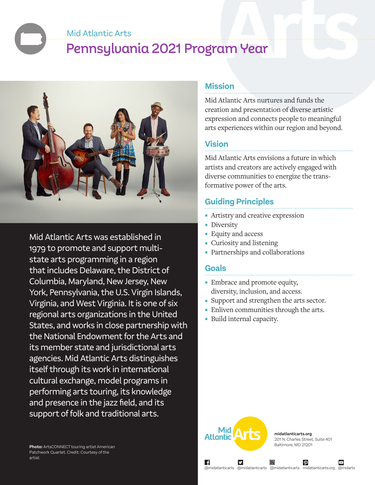#### Mid Atlantic Arts

# Pennsylvania 2021 Program Year



Mid Atlantic Arts was established in 1979 to promote and support multistate arts programming in a region that includes Delaware, the District of Columbia, Maryland, New Jersey, New York, Pennsylvania, the U.S. Virgin Islands, Virginia, and West Virginia. It is one of six regional arts organizations in the United States, and works in close partnership with the National Endowment for the Arts and its member state and jurisdictional arts agencies. Mid Atlantic Arts distinguishes itself through its work in international cultural exchange, model programs in performing arts touring, its knowledge and presence in the jazz field, and its support of folk and traditional arts.

**Photo:** ArtsCONNECT touring artist American Patchwork Quartet. Credit: Courtesy of the artist

### **Mission**

Mid Atlantic Arts nurtures and funds the creation and presentation of diverse artistic expression and connects people to meaningful arts experiences within our region and beyond.

### **Vision**

Mid Atlantic Arts envisions a future in which artists and creators are actively engaged with diverse communities to energize the transformative power of the arts.

# **Guiding Principles**

- Artistry and creative expression
- Diversity
- Equity and access
- Curiosity and listening
- Partnerships and collaborations

#### **Goals**

- Embrace and promote equity, diversity, inclusion, and access.
- Support and strengthen the arts sector.
- Enliven communities through the arts.
- Build internal capacity.



**midatlanticarts.org** 201 N. Charles Street, Suite 401 Baltimore, MD 21201

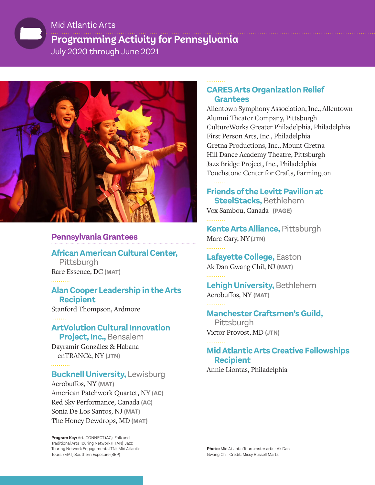# **Programming Activity for Pennsylvania**  July 2020 through June 2021 Mid Atlantic Arts



# **Pennsylvania Grantees**

**African American Cultural Center,** Pittsburgh Rare Essence, DC **(MAT)**

### **Alan Cooper Leadership in the Arts Recipient**

Stanford Thompson, Ardmore

# **ArtVolution Cultural Innovation**

 **Project, Inc.,** Bensalem Dayramir González & Habana enTRANCé, NY **(JTN)**

# **Bucknell University,** Lewisburg

Acrobuffos, NY **(MAT)** American Patchwork Quartet, NY **(AC)** Red Sky Performance, Canada **(AC)** Sonia De Los Santos, NJ **(MAT)** The Honey Dewdrops, MD **(MAT)**

**Program Key:** ArtsCONNECT (AC) Folk and Traditional Arts Touring Network (FTAN) Jazz Touring Network Engagement (JTN) Mid Atlantic Tours (MAT) Southern Exposure (SEP)

### **CARES Arts Organization Relief Grantees**

Allentown Symphony Association, Inc., Allentown Alumni Theater Company, Pittsburgh CultureWorks Greater Philadelphia, Philadelphia First Person Arts, Inc., Philadelphia Gretna Productions, Inc., Mount Gretna Hill Dance Academy Theatre, Pittsburgh Jazz Bridge Project, Inc., Philadelphia Touchstone Center for Crafts, Farmington

### **Friends of the Levitt Pavilion at SteelStacks,** Bethlehem

Vox Sambou, Canada **(PAGE)**

**Kente Arts Alliance,** Pittsburgh Marc Cary, NY**(JTN)**

**Lafayette College,** Easton Ak Dan Gwang Chil, NJ **(MAT)**

# **Lehigh University,** Bethlehem Acrobuffos, NY **(MAT)**

**Manchester Craftsmen's Guild,** Pittsburgh Victor Provost, MD **(JTN)**

# **Mid Atlantic Arts Creative Fellowships Recipient**

Annie Liontas, Philadelphia